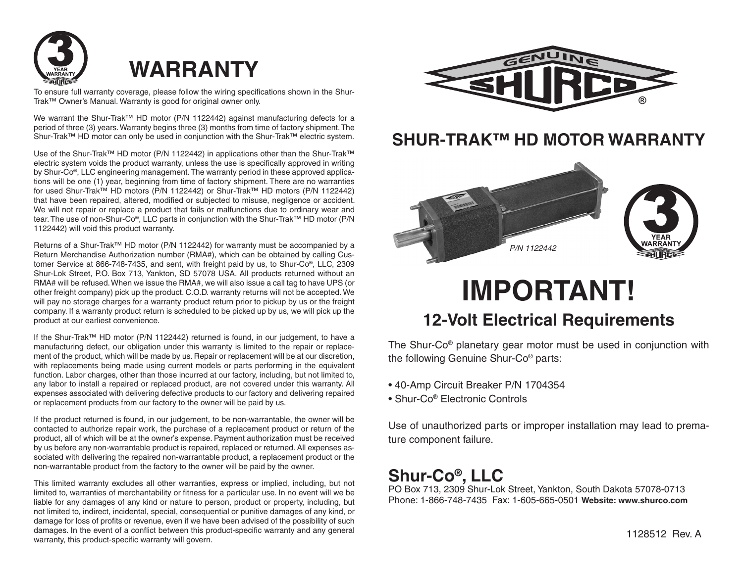



To ensure full warranty coverage, please follow the wiring specifications shown in the Shur-Trak™ Owner's Manual. Warranty is good for original owner only.

We warrant the Shur-Trak™ HD motor (P/N 1122442) against manufacturing defects for a period of three (3) years. Warranty begins three (3) months from time of factory shipment. The Shur-Trak™ HD motor can only be used in conjunction with the Shur-Trak™ electric system.

Use of the Shur-Trak™ HD motor (P/N 1122442) in applications other than the Shur-Trak™ electric system voids the product warranty, unless the use is specifically approved in writing by Shur-Co®, LLC engineering management. The warranty period in these approved applications will be one (1) year, beginning from time of factory shipment. There are no warranties for used Shur-Trak™ HD motors (P/N 1122442) or Shur-Trak™ HD motors (P/N 1122442) that have been repaired, altered, modified or subjected to misuse, negligence or accident. We will not repair or replace a product that fails or malfunctions due to ordinary wear and tear. The use of non-Shur-Co®, LLC parts in conjunction with the Shur-Trak™ HD motor (P/N 1122442) will void this product warranty.

Returns of a Shur-Trak™ HD motor (P/N 1122442) for warranty must be accompanied by a Return Merchandise Authorization number (RMA#), which can be obtained by calling Customer Service at 866-748-7435, and sent, with freight paid by us, to Shur-Co®, LLC, 2309 Shur-Lok Street, P.O. Box 713, Yankton, SD 57078 USA. All products returned without an RMA# will be refused. When we issue the RMA#, we will also issue a call tag to have UPS (or other freight company) pick up the product. C.O.D. warranty returns will not be accepted. We will pay no storage charges for a warranty product return prior to pickup by us or the freight company. If a warranty product return is scheduled to be picked up by us, we will pick up the product at our earliest convenience.

If the Shur-Trak™ HD motor (P/N 1122442) returned is found, in our judgement, to have a manufacturing defect, our obligation under this warranty is limited to the repair or replacement of the product, which will be made by us. Repair or replacement will be at our discretion, with replacements being made using current models or parts performing in the equivalent function. Labor charges, other than those incurred at our factory, including, but not limited to, any labor to install a repaired or replaced product, are not covered under this warranty. All expenses associated with delivering defective products to our factory and delivering repaired or replacement products from our factory to the owner will be paid by us.

If the product returned is found, in our judgement, to be non-warrantable, the owner will be contacted to authorize repair work, the purchase of a replacement product or return of the product, all of which will be at the owner's expense. Payment authorization must be received by us before any non-warrantable product is repaired, replaced or returned. All expenses associated with delivering the repaired non-warrantable product, a replacement product or the non-warrantable product from the factory to the owner will be paid by the owner.

This limited warranty excludes all other warranties, express or implied, including, but not limited to, warranties of merchantability or fitness for a particular use. In no event will we be liable for any damages of any kind or nature to person, product or property, including, but not limited to, indirect, incidental, special, consequential or punitive damages of any kind, or damage for loss of profits or revenue, even if we have been advised of the possibility of such damages. In the event of a conflict between this product-specific warranty and any general warranty, this product-specific warranty will govern.



## **SHUR-TRAK™ HD MOTOR WARRANTY**



## **IMPORTANT! 12-Volt Electrical Requirements**

The Shur-Co® planetary gear motor must be used in conjunction with the following Genuine Shur-Co® parts:

- 40-Amp Circuit Breaker P/N 1704354
- Shur-Co<sup>®</sup> Electronic Controls

Use of unauthorized parts or improper installation may lead to premature component failure.

## **Shur-Co®, LLC**

PO Box 713. 2309 Shur-Lok Street, Yankton, South Dakota 57078-0713 Phone: 1-866-748-7435 Fax: 1-605-665-0501 **Website: www.shurco.com**